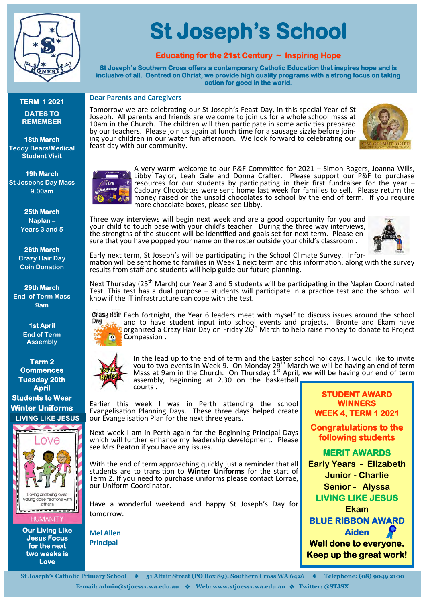

# **TERM 1 2021 DATES TO REMEMBER**

**18th March Teddy Bears/Medical Student Visit**

**19h March St Josephs Day Mass 9.00am**

> **25th March Naplan – Years 3 and 5**

**26th March Crazy Hair Day Coin Donation**

**29th March End of Term Mass 9am**

> **1st April End of Term Assembly**

**Term 2 Commences Tuesday 20th April Students to Wear Winter Uniforms LIVING LIKE JESUS**



#### **HUMANITY**

**Our Living Like Jesus Focus for the next two weeks is Love** 

# **St Joseph's School**

# **Educating for the 21st Century ~ Inspiring Hope**

**St Joseph's Southern Cross offers a contemporary Catholic Education that inspires hope and is inclusive of all. Centred on Christ, we provide high quality programs with a strong focus on taking action for good in the world.** 

#### **Dear Parents and Caregivers**

Tomorrow we are celebrating our St Joseph's Feast Day, in this special Year of St Joseph. All parents and friends are welcome to join us for a whole school mass at 10am in the Church. The children will then participate in some activities prepared by our teachers. Please join us again at lunch time for a sausage sizzle before joining your children in our water fun afternoon. We look forward to celebrating our feast day with our community.



 $\omega$ 

A very warm welcome to our P&F Committee for 2021 – Simon Rogers, Joanna Wills, Libby Taylor, Leah Gale and Donna Crafter. Please support our P&F to purchase resources for our students by participating in their first fundraiser for the year – Cadbury Chocolates were sent home last week for families to sell. Please return the money raised or the unsold chocolates to school by the end of term. If you require more chocolate boxes, please see Libby.

Three way interviews will begin next week and are a good opportunity for you and your child to touch base with your child's teacher. During the three way interviews, the strengths of the student will be identified and goals set for next term. Please ensure that you have popped your name on the roster outside your child's classroom .



Early next term, St Joseph's will be participating in the School Climate Survey. Information will be sent home to families in Week 1 next term and this information, along with the survey results from staff and students will help guide our future planning.

Next Thursday (25<sup>th</sup> March) our Year 3 and 5 students will be participating in the Naplan Coordinated Test. This test has a dual purpose – students will participate in a practice test and the school will know if the IT infrastructure can cope with the test.

Crazy Hair Each fortnight, the Year 6 leaders meet with myself to discuss issues around the school Day and to have student input into school events and projects. Bronte and Ekam have<br>organized a Crazy Hair Day on Friday 26<sup>th</sup> March to help raise money to donate to Project **DA** Compassion .



In the lead up to the end of term and the Easter school holidays, I would like to invite<br>you to two events in Week 9. On Monday 29<sup>th</sup> March we will be having an end of term Mass at 9am in the Church. On Thursday 1<sup>st</sup> April, we will be having our end of term assembly, beginning at 2.30 on the basketball courts .

Earlier this week I was in Perth attending the school Evangelisation Planning Days. These three days helped create our Evangelisation Plan for the next three years.

Next week I am in Perth again for the Beginning Principal Days which will further enhance my leadership development. Please see Mrs Beaton if you have any issues.

With the end of term approaching quickly just a reminder that all students are to transition to **Winter Uniforms** for the start of Term 2. If you need to purchase uniforms please contact Lorrae, our Uniform Coordinator.

Have a wonderful weekend and happy St Joseph's Day for tomorrow.

**Mel Allen Principal**

**Congratulations to the following students MERIT AWARDS Early Years - Elizabeth Junior - Charlie Senior - Alyssa LIVING LIKE JESUS Ekam BLUE RIBBON AWARD Aiden Well done to everyone. Keep up the great work!**

**STUDENT AWARD WINNERS WEEK 4, TERM 1 2021** 

**St Joseph's Catholic Primary School** ❖ **51 Altair Street (PO Box 89), Southern Cross WA 6426** ❖ **Telephone: (08) 9049 2100 E-mail: admin@stjoessx.wa.edu.au** ❖ **Web: www.stjoessx.wa.edu.au** ❖ **Twitter: @STJSX**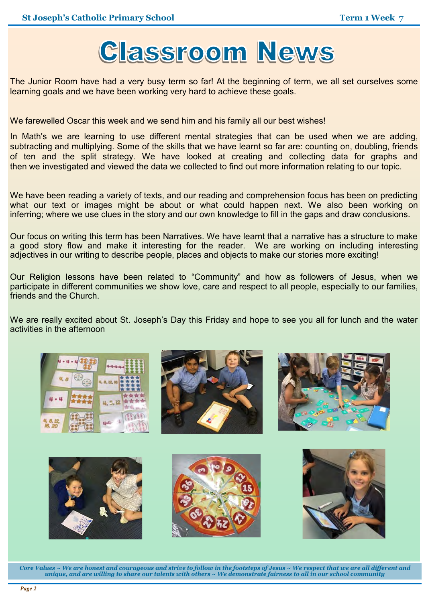

The Junior Room have had a very busy term so far! At the beginning of term, we all set ourselves some learning goals and we have been working very hard to achieve these goals.

We farewelled Oscar this week and we send him and his family all our best wishes!

In Math's we are learning to use different mental strategies that can be used when we are adding, subtracting and multiplying. Some of the skills that we have learnt so far are: counting on, doubling, friends of ten and the split strategy. We have looked at creating and collecting data for graphs and then we investigated and viewed the data we collected to find out more information relating to our topic.

We have been reading a variety of texts, and our reading and comprehension focus has been on predicting what our text or images might be about or what could happen next. We also been working on inferring; where we use clues in the story and our own knowledge to fill in the gaps and draw conclusions.

Our focus on writing this term has been Narratives. We have learnt that a narrative has a structure to make a good story flow and make it interesting for the reader. We are working on including interesting adjectives in our writing to describe people, places and objects to make our stories more exciting!

Our Religion lessons have been related to "Community" and how as followers of Jesus, when we participate in different communities we show love, care and respect to all people, especially to our families, friends and the Church.

We are really excited about St. Joseph's Day this Friday and hope to see you all for lunch and the water activities in the afternoon



*Core Values ~ We are honest and courageous and strive to follow in the footsteps of Jesus ~ We respect that we are all different and unique, and are willing to share our talents with others ~ We demonstrate fairness to all in our school community*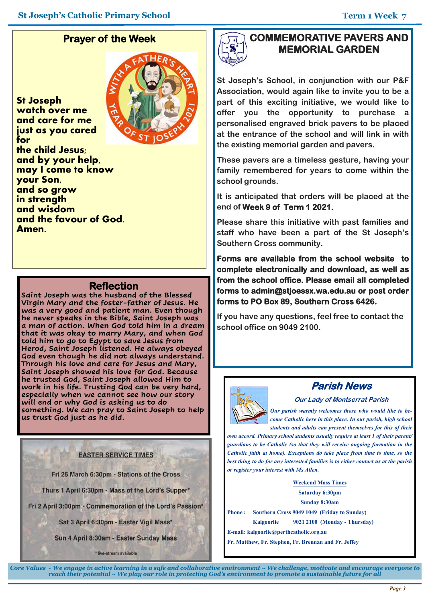# **Prayer of the Week**

**St Joseph watch over me and care for me just as you cared for the child Jesus; and by your help, may I come to know your Son, and so grow in strength and wisdom and the favour of God. Amen.**



#### **Reflection**

**Saint Joseph was the husband of the Blessed Virgin Mary and the foster-father of Jesus. He was a very good and patient man. Even though he never speaks in the Bible, Saint Joseph was a man of action. When God told him in a dream that it was okay to marry Mary, and when God told him to go to Egypt to save Jesus from Herod, Saint Joseph listened. He always obeyed God even though he did not always understand. Through his love and care for Jesus and Mary, Saint Joseph showed his love for God. Because he trusted God, Saint Joseph allowed Him to work in his life. Trusting God can be very hard, especially when we cannot see how our story will end or why God is asking us to do something. We can pray to Saint Joseph to help us trust God just as he did.** 

#### **EASTER SERVICE TIMES**

Fri 26 March 6:30pm - Stations of the Cross

Thurs 1 April 6:30pm - Mass of the Lord's Supper\*

Fri 2 April 3:00pm - Commemoration of the Lord's Passion\*

Sat 3 April 6:30pm - Easter Vigil Mass\*

Sun 4 April 8:30am - Easter Sunday Mass

\* live-stream available

# **COMMEMORATIVE PAVERS AND MEMORIAL GARDEN**

**St Joseph's School, in conjunction with our P&F Association, would again like to invite you to be a part of this exciting initiative, we would like to offer you the opportunity to purchase a personalised engraved brick pavers to be placed at the entrance of the school and will link in with the existing memorial garden and pavers.**

**These pavers are a timeless gesture, having your family remembered for years to come within the school grounds.**

**It is anticipated that orders will be placed at the end of Week 9 of Term 1 2021.** 

**Please share this initiative with past families and staff who have been a part of the St Joseph's Southern Cross community.** 

**Forms are available from the school website to complete electronically and download, as well as from the school office. Please email all completed forms to admin@stjoessx.wa.edu.au or post order forms to PO Box 89, Southern Cross 6426.** 

**If you have any questions, feel free to contact the school office on 9049 2100.**



# **Parish News**

**Our Lady of Montserrat Parish**

*Our parish warmly welcomes those who would like to become Catholic here in this place. In our parish, high school students and adults can present themselves for this of their* 

*own accord. Primary school students usually require at least 1 of their parent/ guardians to be Catholic (so that they will receive ongoing formation in the Catholic faith at home). Exceptions do take place from time to time, so the best thing to do for any interested families is to either contact us at the parish or register your interest with Ms Allen.*

**Weekend Mass Times**

**Saturday 6:30pm**

**Sunday 8:30am** 

**Phone : Southern Cross 9049 1049 (Friday to Sunday)**

**Kalgoorlie 9021 2100 (Monday - Thursday)**

**E-mail: kalgoorlie@perthcatholic.org.au** 

**Fr. Matthew, Fr. Stephen, Fr. Brennan and Fr. Jeffey**

*Core Values ~ We engage in active learning in a safe and collaborative environment ~ We challenge, motivate and encourage everyone to reach their potential ~ We play our role in protecting God's environment to promote a sustainable future for all*